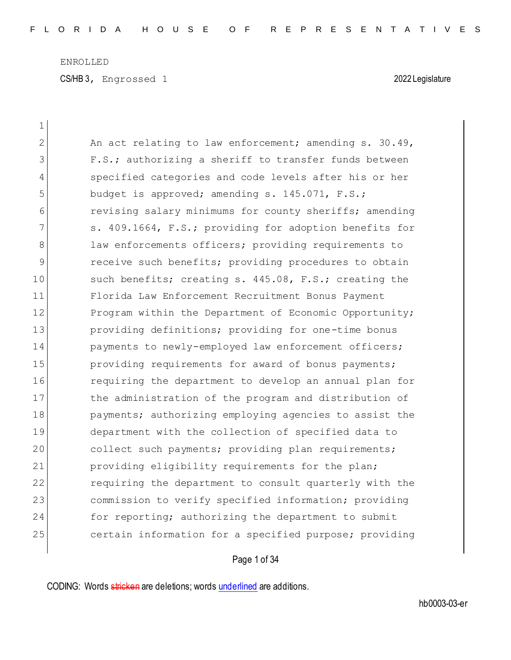$\overline{\phantom{a}}$ 

CS/HB 3, Engrossed 1 2022 Legislature

| 1  |                                                        |
|----|--------------------------------------------------------|
| 2  | An act relating to law enforcement; amending s. 30.49, |
| 3  | F.S.; authorizing a sheriff to transfer funds between  |
| 4  | specified categories and code levels after his or her  |
| 5  | budget is approved; amending s. 145.071, F.S.;         |
| 6  | revising salary minimums for county sheriffs; amending |
| 7  | s. 409.1664, F.S.; providing for adoption benefits for |
| 8  | law enforcements officers; providing requirements to   |
| 9  | receive such benefits; providing procedures to obtain  |
| 10 | such benefits; creating s. 445.08, F.S.; creating the  |
| 11 | Florida Law Enforcement Recruitment Bonus Payment      |
| 12 | Program within the Department of Economic Opportunity; |
| 13 | providing definitions; providing for one-time bonus    |
| 14 | payments to newly-employed law enforcement officers;   |
| 15 | providing requirements for award of bonus payments;    |
| 16 | requiring the department to develop an annual plan for |
| 17 | the administration of the program and distribution of  |
| 18 | payments; authorizing employing agencies to assist the |
| 19 | department with the collection of specified data to    |
| 20 | collect such payments; providing plan requirements;    |
| 21 | providing eligibility requirements for the plan;       |
| 22 | requiring the department to consult quarterly with the |
| 23 | commission to verify specified information; providing  |
| 24 | for reporting; authorizing the department to submit    |
| 25 | certain information for a specified purpose; providing |

# Page 1 of 34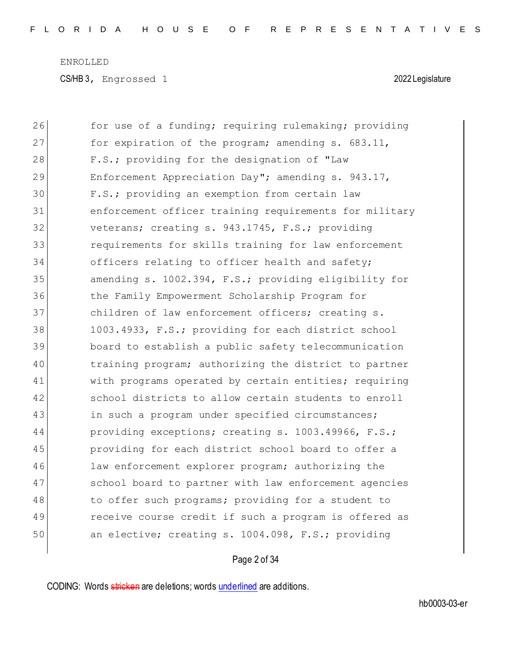CS/HB 3, Engrossed 1 2022 Legislature

| 26 | for use of a funding; requiring rulemaking; providing  |
|----|--------------------------------------------------------|
| 27 | for expiration of the program; amending s. 683.11,     |
| 28 | F.S.; providing for the designation of "Law            |
| 29 | Enforcement Appreciation Day"; amending s. 943.17,     |
| 30 | F.S.; providing an exemption from certain law          |
| 31 | enforcement officer training requirements for military |
| 32 | veterans; creating s. 943.1745, F.S.; providing        |
| 33 | requirements for skills training for law enforcement   |
| 34 | officers relating to officer health and safety;        |
| 35 | amending s. 1002.394, F.S.; providing eligibility for  |
| 36 | the Family Empowerment Scholarship Program for         |
| 37 | children of law enforcement officers; creating s.      |
| 38 | 1003.4933, F.S.; providing for each district school    |
| 39 | board to establish a public safety telecommunication   |
| 40 | training program; authorizing the district to partner  |
| 41 | with programs operated by certain entities; requiring  |
| 42 | school districts to allow certain students to enroll   |
| 43 | in such a program under specified circumstances;       |
| 44 | providing exceptions; creating s. 1003.49966, F.S.;    |
| 45 | providing for each district school board to offer a    |
| 46 | law enforcement explorer program; authorizing the      |
| 47 | school board to partner with law enforcement agencies  |
| 48 | to offer such programs; providing for a student to     |
| 49 | receive course credit if such a program is offered as  |
| 50 | an elective; creating s. 1004.098, F.S.; providing     |
|    |                                                        |

# Page 2 of 34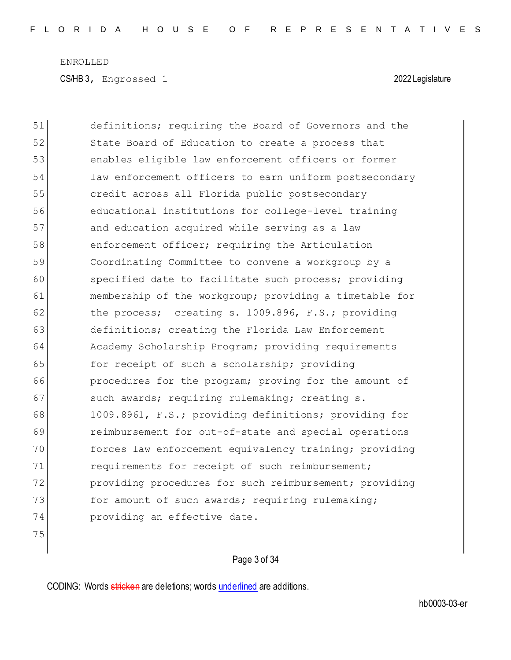CS/HB 3, Engrossed 1 2022 Legislature

51 definitions; requiring the Board of Governors and the 52 State Board of Education to create a process that 53 enables eligible law enforcement officers or former 54 law enforcement officers to earn uniform postsecondary 55 credit across all Florida public postsecondary 56 educational institutions for college-level training 57 and education acquired while serving as a law 58 enforcement officer; requiring the Articulation 59 Coordinating Committee to convene a workgroup by a 60 specified date to facilitate such process; providing 61 membership of the workgroup; providing a timetable for 62 the process; creating s. 1009.896, F.S.; providing 63 definitions; creating the Florida Law Enforcement 64 Academy Scholarship Program; providing requirements 65 for receipt of such a scholarship; providing 66 **procedures for the program;** proving for the amount of 67 such awards; requiring rulemaking; creating s. 68 1009.8961, F.S.; providing definitions; providing for 69 reimbursement for out-of-state and special operations 70 forces law enforcement equivalency training; providing 71 requirements for receipt of such reimbursement; 72 providing procedures for such reimbursement; providing 73 for amount of such awards; requiring rulemaking; 74 providing an effective date.

75

Page 3 of 34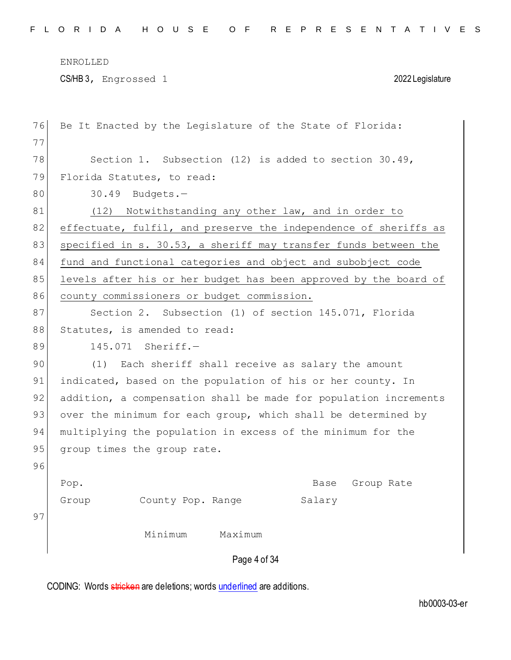CS/HB 3, Engrossed 1 2022 Legislature

| Be It Enacted by the Legislature of the State of Florida:        |
|------------------------------------------------------------------|
|                                                                  |
| Section 1. Subsection $(12)$ is added to section $30.49$ ,       |
| Florida Statutes, to read:                                       |
| 30.49<br>Budgets.-                                               |
| Notwithstanding any other law, and in order to<br>(12)           |
| effectuate, fulfil, and preserve the independence of sheriffs as |
| specified in s. 30.53, a sheriff may transfer funds between the  |
| fund and functional categories and object and subobject code     |
| levels after his or her budget has been approved by the board of |
| county commissioners or budget commission.                       |
| Section 2. Subsection (1) of section 145.071, Florida            |
| Statutes, is amended to read:                                    |
| 145.071 Sheriff.-                                                |
| Each sheriff shall receive as salary the amount<br>(1)           |
| indicated, based on the population of his or her county. In      |
| addition, a compensation shall be made for population increments |
| over the minimum for each group, which shall be determined by    |
| multiplying the population in excess of the minimum for the      |
| group times the group rate.                                      |
|                                                                  |
| Pop.<br>Base<br>Group Rate                                       |
| County Pop. Range<br>Salary<br>Group                             |
|                                                                  |
| Minimum<br>Maximum                                               |
| Page 4 of 34                                                     |
|                                                                  |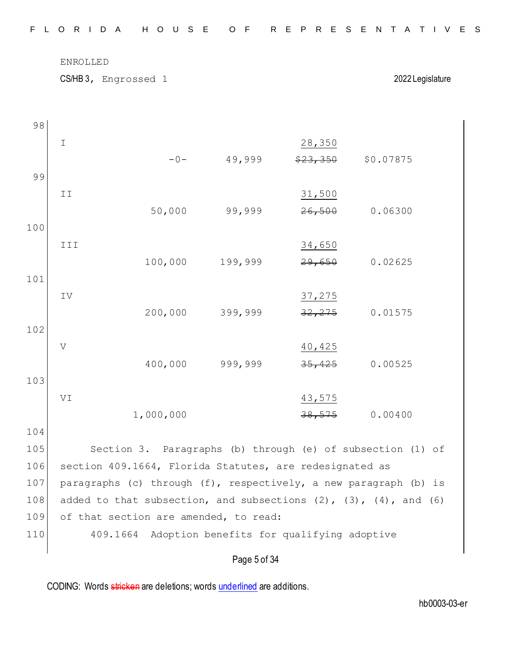CS/HB 3, Engrossed 1 2022 Legislature

| 98  |               |                                                         |              |          |                                                                  |  |
|-----|---------------|---------------------------------------------------------|--------------|----------|------------------------------------------------------------------|--|
|     | $\mathbbm{1}$ |                                                         |              | 28,350   |                                                                  |  |
|     |               | $-0-$                                                   | 49,999       | \$23,350 | \$0.07875                                                        |  |
| 99  |               |                                                         |              |          |                                                                  |  |
|     | II            |                                                         |              | 31,500   |                                                                  |  |
|     |               | 50,000                                                  | 99,999       | 26,500   | 0.06300                                                          |  |
| 100 |               |                                                         |              |          |                                                                  |  |
|     | III           |                                                         |              | 34,650   |                                                                  |  |
|     |               | 100,000                                                 | 199,999      | 29,650   | 0.02625                                                          |  |
| 101 |               |                                                         |              |          |                                                                  |  |
|     | IV            |                                                         |              | 37,275   |                                                                  |  |
|     |               | 200,000                                                 | 399,999      | 32, 275  | 0.01575                                                          |  |
| 102 |               |                                                         |              |          |                                                                  |  |
|     | $\mathbf{V}$  |                                                         |              | 40,425   |                                                                  |  |
|     |               | 400,000                                                 | 999,999      | 35,425   | 0.00525                                                          |  |
| 103 |               |                                                         |              |          |                                                                  |  |
|     | VI            |                                                         |              | 43,575   |                                                                  |  |
|     |               | 1,000,000                                               |              | 38,575   | 0.00400                                                          |  |
| 104 |               |                                                         |              |          |                                                                  |  |
| 105 |               |                                                         |              |          | Section 3. Paragraphs (b) through (e) of subsection (1) of       |  |
| 106 |               | section 409.1664, Florida Statutes, are redesignated as |              |          |                                                                  |  |
| 107 |               |                                                         |              |          | paragraphs (c) through (f), respectively, a new paragraph (b) is |  |
| 108 |               |                                                         |              |          | added to that subsection, and subsections (2), (3), (4), and (6) |  |
| 109 |               | of that section are amended, to read:                   |              |          |                                                                  |  |
| 110 |               | 409.1664 Adoption benefits for qualifying adoptive      |              |          |                                                                  |  |
|     |               |                                                         | Page 5 of 34 |          |                                                                  |  |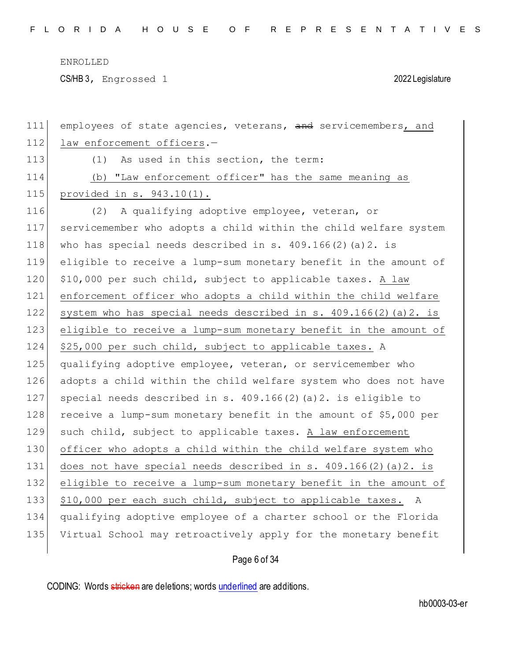CS/HB 3, Engrossed 1 2022 Legislature

| 111 | employees of state agencies, veterans, and servicemembers, and    |
|-----|-------------------------------------------------------------------|
| 112 | law enforcement officers.-                                        |
| 113 | As used in this section, the term:<br>(1)                         |
| 114 | (b) "Law enforcement officer" has the same meaning as             |
| 115 | provided in s. 943.10(1).                                         |
| 116 | A qualifying adoptive employee, veteran, or<br>(2)                |
| 117 | servicemember who adopts a child within the child welfare system  |
| 118 | who has special needs described in s. $409.166(2)$ (a) $2.$ is    |
| 119 | eligible to receive a lump-sum monetary benefit in the amount of  |
| 120 | \$10,000 per such child, subject to applicable taxes. A law       |
| 121 | enforcement officer who adopts a child within the child welfare   |
| 122 | system who has special needs described in s. 409.166(2) (a) 2. is |
| 123 | eligible to receive a lump-sum monetary benefit in the amount of  |
| 124 | \$25,000 per such child, subject to applicable taxes. A           |
| 125 | qualifying adoptive employee, veteran, or servicemember who       |
| 126 | adopts a child within the child welfare system who does not have  |
| 127 | special needs described in s. 409.166(2) (a) 2. is eligible to    |
| 128 | receive a lump-sum monetary benefit in the amount of \$5,000 per  |
| 129 | such child, subject to applicable taxes. A law enforcement        |
| 130 | officer who adopts a child within the child welfare system who    |
| 131 | does not have special needs described in $s. 409.166(2)(a)2.$ is  |
| 132 | eligible to receive a lump-sum monetary benefit in the amount of  |
| 133 | \$10,000 per each such child, subject to applicable taxes.<br>A   |
| 134 | qualifying adoptive employee of a charter school or the Florida   |
| 135 | Virtual School may retroactively apply for the monetary benefit   |
|     |                                                                   |

# Page 6 of 34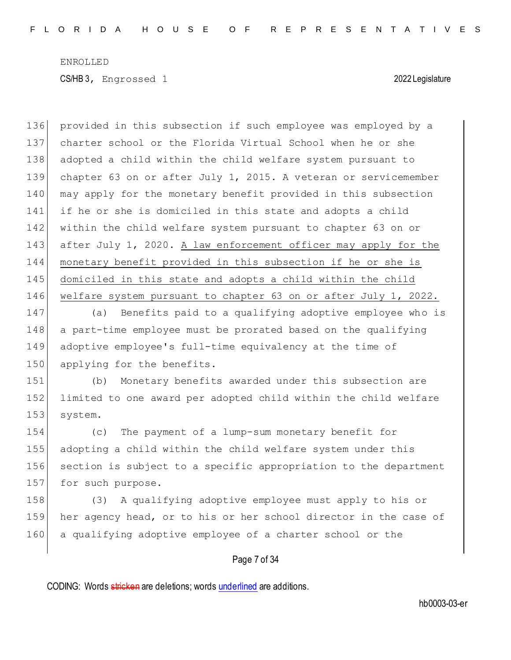provided in this subsection if such employee was employed by a charter school or the Florida Virtual School when he or she 138 adopted a child within the child welfare system pursuant to chapter 63 on or after July 1, 2015. A veteran or servicemember 140 may apply for the monetary benefit provided in this subsection 141 if he or she is domiciled in this state and adopts a child within the child welfare system pursuant to chapter 63 on or after July 1, 2020. A law enforcement officer may apply for the monetary benefit provided in this subsection if he or she is domiciled in this state and adopts a child within the child welfare system pursuant to chapter 63 on or after July 1, 2022.

 (a) Benefits paid to a qualifying adoptive employee who is a part-time employee must be prorated based on the qualifying adoptive employee's full-time equivalency at the time of 150 applying for the benefits.

151 (b) Monetary benefits awarded under this subsection are 152 limited to one award per adopted child within the child welfare 153 system.

154 (c) The payment of a lump-sum monetary benefit for 155 adopting a child within the child welfare system under this 156 section is subject to a specific appropriation to the department 157 for such purpose.

158 (3) A qualifying adoptive employee must apply to his or 159 her agency head, or to his or her school director in the case of 160 a qualifying adoptive employee of a charter school or the

### Page 7 of 34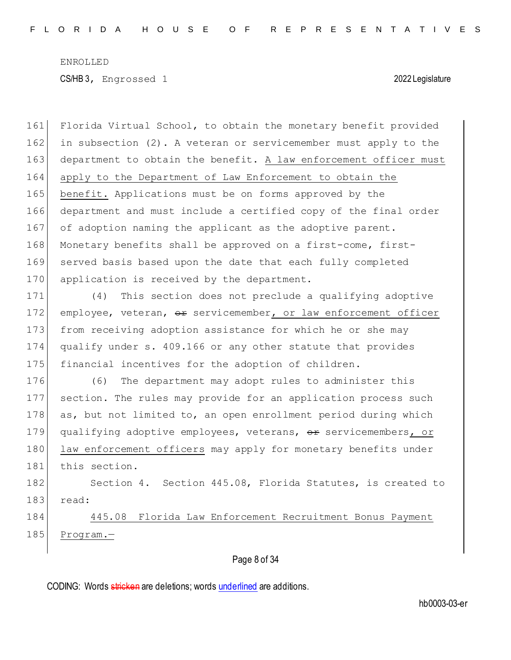161 Florida Virtual School, to obtain the monetary benefit provided 162 in subsection (2). A veteran or servicemember must apply to the 163 department to obtain the benefit. A law enforcement officer must 164 apply to the Department of Law Enforcement to obtain the 165 benefit. Applications must be on forms approved by the 166 department and must include a certified copy of the final order 167 of adoption naming the applicant as the adoptive parent. 168 Monetary benefits shall be approved on a first-come, first-169 served basis based upon the date that each fully completed 170 application is received by the department.

 (4) This section does not preclude a qualifying adoptive 172 employee, veteran,  $\Theta$  servicemember, or law enforcement officer from receiving adoption assistance for which he or she may qualify under s. 409.166 or any other statute that provides financial incentives for the adoption of children.

176 (6) The department may adopt rules to administer this 177 section. The rules may provide for an application process such 178 as, but not limited to, an open enrollment period during which 179 qualifying adoptive employees, veterans, or servicemembers, or 180 law enforcement officers may apply for monetary benefits under 181 this section.

182 Section 4. Section 445.08, Florida Statutes, is created to 183 read:

184 445.08 Florida Law Enforcement Recruitment Bonus Payment 185 Program.-

### Page 8 of 34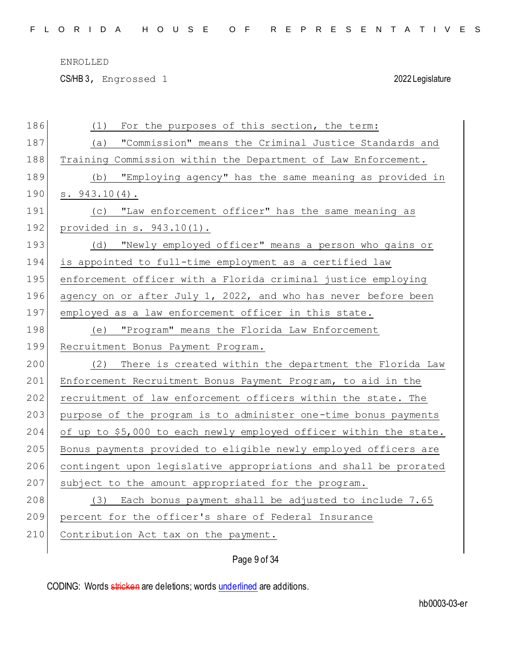CS/HB 3, Engrossed 1 2022 Legislature

| 186 | For the purposes of this section, the term:<br>(1)                |
|-----|-------------------------------------------------------------------|
| 187 | "Commission" means the Criminal Justice Standards and<br>(a)      |
| 188 | Training Commission within the Department of Law Enforcement.     |
| 189 | "Employing agency" has the same meaning as provided in<br>(b)     |
| 190 | $s. 943.10(4)$ .                                                  |
| 191 | "Law enforcement officer" has the same meaning as<br>(C)          |
| 192 | provided in $s. 943.10(1)$ .                                      |
| 193 | "Newly employed officer" means a person who gains or<br>(d)       |
| 194 | is appointed to full-time employment as a certified law           |
| 195 | enforcement officer with a Florida criminal justice employing     |
| 196 | agency on or after July 1, 2022, and who has never before been    |
| 197 | employed as a law enforcement officer in this state.              |
| 198 | "Program" means the Florida_Law Enforcement<br>(e)                |
|     |                                                                   |
| 199 | Recruitment Bonus Payment Program.                                |
| 200 | (2)<br>There is created within the department the Florida Law     |
| 201 | Enforcement Recruitment Bonus Payment Program, to aid in the      |
| 202 | recruitment of law enforcement officers within the state. The     |
| 203 | purpose of the program is to administer one-time bonus payments   |
| 204 | of up to \$5,000 to each newly employed officer within the state. |
| 205 | Bonus payments provided to eligible newly employed officers are   |
| 206 | contingent upon legislative appropriations and shall be prorated  |
| 207 | subject to the amount appropriated for the program.               |
| 208 | (3) Each bonus payment shall be adjusted to include 7.65          |
| 209 | percent for the officer's share of Federal Insurance              |
| 210 | Contribution Act tax on the payment.                              |

Page 9 of 34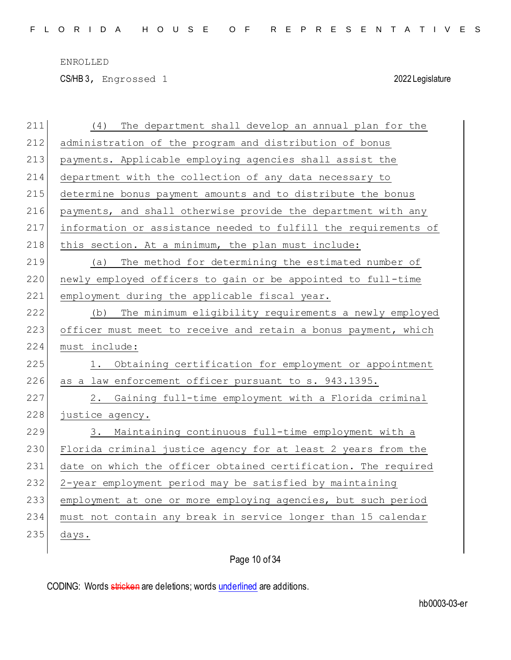CS/HB 3, Engrossed 1 2022 Legislature

| 211 | The department shall develop an annual plan for the<br>(4)      |
|-----|-----------------------------------------------------------------|
| 212 | administration of the program and distribution of bonus         |
| 213 | payments. Applicable employing agencies shall assist the        |
| 214 | department with the collection of any data necessary to         |
| 215 | determine bonus payment amounts and to distribute the bonus     |
| 216 | payments, and shall otherwise provide the department with any   |
| 217 | information or assistance needed to fulfill the requirements of |
| 218 | this section. At a minimum, the plan must include:              |
| 219 | The method for determining the estimated number of<br>(a)       |
| 220 | newly employed officers to gain or be appointed to full-time    |
| 221 | employment during the applicable fiscal year.                   |
| 222 | The minimum eligibility requirements a newly employed<br>(b)    |
| 223 | officer must meet to receive and retain a bonus payment, which  |
| 224 | must include:                                                   |
| 225 | Obtaining certification for employment or appointment<br>1.     |
| 226 | as a law enforcement officer pursuant to s. 943.1395.           |
|     |                                                                 |
| 227 | Gaining full-time employment with a Florida criminal<br>2.      |
| 228 | justice agency.                                                 |
| 229 | 3. Maintaining continuous full-time employment with a           |
| 230 | Florida criminal justice agency for at least 2 years from the   |
| 231 | date on which the officer obtained certification. The required  |
| 232 | 2-year employment period may be satisfied by maintaining        |
| 233 | employment at one or more employing agencies, but such period   |
| 234 | must not contain any break in service longer than 15 calendar   |
| 235 | days.                                                           |

# Page 10 of 34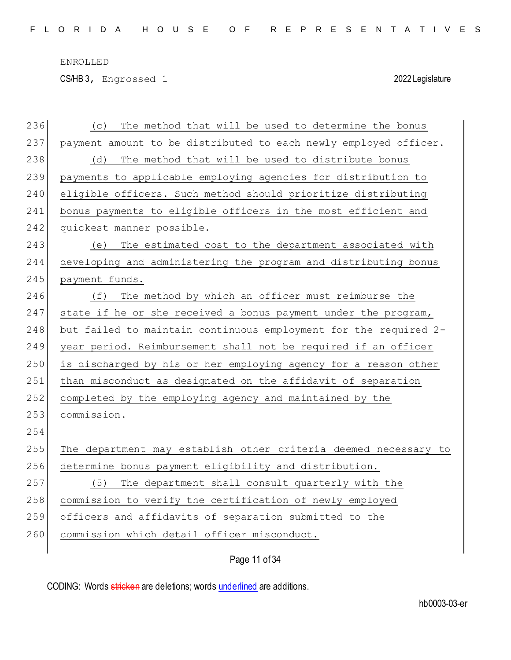CS/HB 3, Engrossed 1 2022 Legislature

| 236 | The method that will be used to determine the bonus<br>(C)       |
|-----|------------------------------------------------------------------|
| 237 | payment amount to be distributed to each newly employed officer. |
| 238 | The method that will be used to distribute bonus<br>(d)          |
| 239 | payments to applicable employing agencies for distribution to    |
| 240 | eligible officers. Such method should prioritize distributing    |
| 241 | bonus payments to eligible officers in the most efficient and    |
| 242 | quickest manner possible.                                        |
| 243 | The estimated cost to the department associated with<br>(e)      |
| 244 | developing and administering the program and distributing bonus  |
| 245 | payment funds.                                                   |
| 246 | The method by which an officer must reimburse the<br>(f)         |
| 247 | state if he or she received a bonus payment under the program,   |
| 248 | but failed to maintain continuous employment for the required 2- |
| 249 | year period. Reimbursement shall not be required if an officer   |
| 250 | is discharged by his or her employing agency for a reason other  |
| 251 | than misconduct as designated on the affidavit of separation     |
| 252 | completed by the employing agency and maintained by the          |
| 253 | commission.                                                      |
| 254 |                                                                  |
| 255 | The department may establish other criteria deemed necessary to  |
| 256 | determine bonus payment eligibility and distribution.            |
| 257 | The department shall consult quarterly with the<br>(5)           |
| 258 | commission to verify the certification of newly employed         |
| 259 | officers and affidavits of separation submitted to the           |
| 260 | commission which detail officer misconduct.                      |
|     |                                                                  |

Page 11 of 34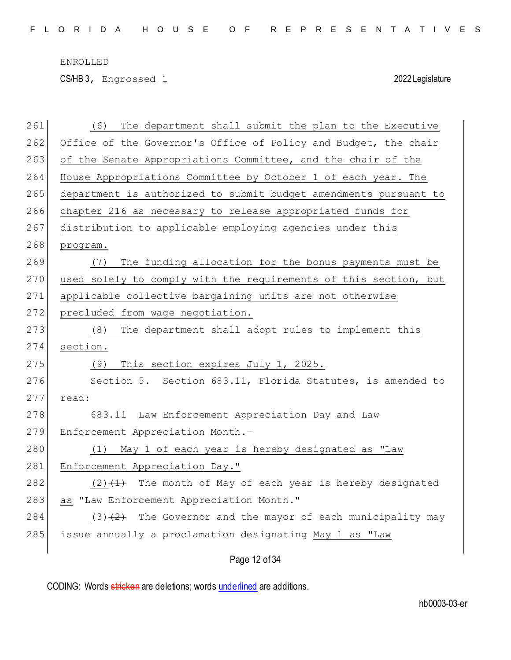CS/HB 3, Engrossed 1 2022 Legislature

| 261 | The department shall submit the plan to the Executive<br>(6)     |
|-----|------------------------------------------------------------------|
| 262 | Office of the Governor's Office of Policy and Budget, the chair  |
| 263 | of the Senate Appropriations Committee, and the chair of the     |
| 264 | House Appropriations Committee by October 1 of each year. The    |
| 265 | department is authorized to submit budget amendments pursuant to |
| 266 | chapter 216 as necessary to release appropriated funds for       |
| 267 | distribution to applicable employing agencies under this         |
| 268 | program.                                                         |
| 269 | The funding allocation for the bonus payments must be<br>(7)     |
| 270 | used solely to comply with the requirements of this section, but |
| 271 | applicable collective bargaining units are not otherwise         |
| 272 | precluded from wage negotiation.                                 |
| 273 | The department shall adopt rules to implement this<br>(8)        |
| 274 | section.                                                         |
| 275 | This section expires July 1, 2025.<br>(9)                        |
| 276 | Section 5. Section 683.11, Florida Statutes, is amended to       |
| 277 | read:                                                            |
| 278 | 683.11 Law Enforcement Appreciation Day and Law                  |
| 279 | Enforcement Appreciation Month.-                                 |
| 280 | May 1 of each year is hereby designated as "Law<br>(1)           |
| 281 | Enforcement Appreciation Day."                                   |
| 282 | $(2)$ $(1)$ The month of May of each year is hereby designated   |
| 283 | as "Law Enforcement Appreciation Month."                         |
| 284 | $(3)$ $(2)$ The Governor and the mayor of each municipality may  |
| 285 | issue annually a proclamation designating May 1 as "Law          |
|     |                                                                  |

Page 12 of 34

CODING: Words stricken are deletions; words underlined are additions.

hb0003-03-er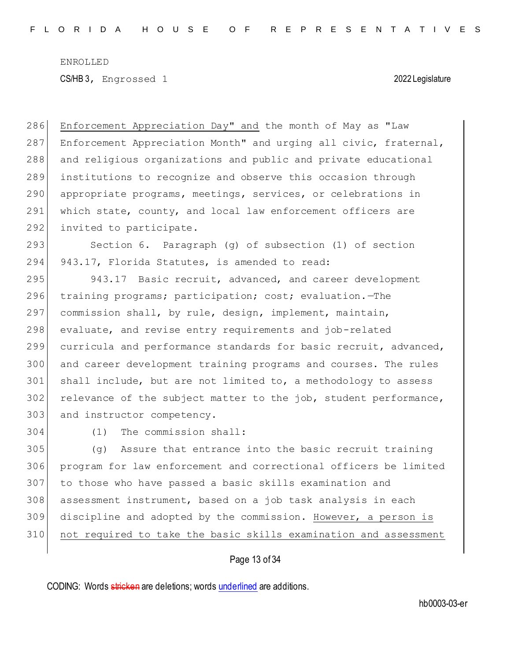286 Enforcement Appreciation Day" and the month of May as "Law 287 Enforcement Appreciation Month" and urging all civic, fraternal, 288 and religious organizations and public and private educational 289 institutions to recognize and observe this occasion through 290 appropriate programs, meetings, services, or celebrations in 291 which state, county, and local law enforcement officers are 292 invited to participate.

293 Section 6. Paragraph (g) of subsection (1) of section 294 943.17, Florida Statutes, is amended to read:

295 943.17 Basic recruit, advanced, and career development training programs; participation; cost; evaluation.—The commission shall, by rule, design, implement, maintain, evaluate, and revise entry requirements and job-related curricula and performance standards for basic recruit, advanced, and career development training programs and courses. The rules shall include, but are not limited to, a methodology to assess 302 relevance of the subject matter to the job, student performance, 303 and instructor competency.

304 (1) The commission shall:

305 (g) Assure that entrance into the basic recruit training program for law enforcement and correctional officers be limited to those who have passed a basic skills examination and assessment instrument, based on a job task analysis in each discipline and adopted by the commission. However, a person is not required to take the basic skills examination and assessment

### Page 13 of 34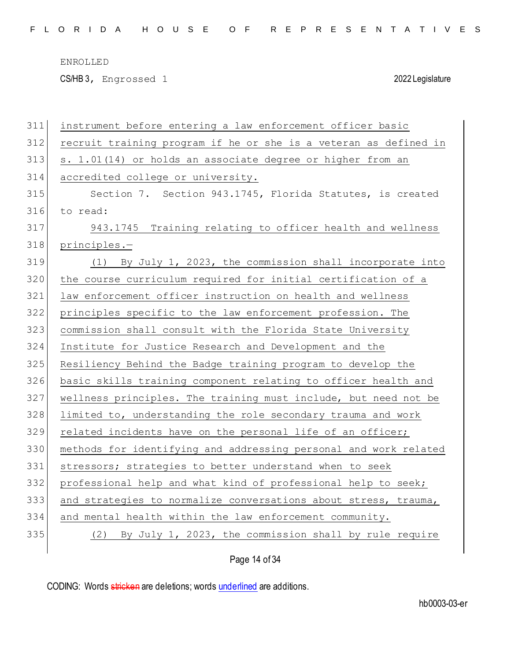CS/HB 3, Engrossed 1 2022 Legislature

| 311 | instrument before entering a law enforcement officer basic       |
|-----|------------------------------------------------------------------|
| 312 | recruit training program if he or she is a veteran as defined in |
| 313 | s. 1.01(14) or holds an associate degree or higher from an       |
| 314 | accredited college or university.                                |
| 315 | Section 7. Section 943.1745, Florida Statutes, is created        |
| 316 | to read:                                                         |
| 317 | 943.1745 Training relating to officer health and wellness        |
| 318 | principles.-                                                     |
| 319 | (1) By July 1, 2023, the commission shall incorporate into       |
| 320 | the course curriculum required for initial certification of a    |
| 321 | law enforcement officer instruction on health and wellness       |
| 322 | principles specific to the law enforcement profession. The       |
| 323 | commission shall consult with the Florida State University       |
| 324 | Institute for Justice Research and Development and the           |
| 325 | Resiliency Behind the Badge training program to develop the      |
| 326 | basic skills training component relating to officer health and   |
| 327 | wellness principles. The training must include, but need not be  |
| 328 | limited to, understanding the role secondary trauma and work     |
| 329 | related incidents have on the personal life of an officer;       |
| 330 | methods for identifying and addressing personal and work related |
| 331 | stressors; strategies to better understand when to seek          |
| 332 | professional help and what kind of professional help to seek;    |
| 333 | and strategies to normalize conversations about stress, trauma,  |
| 334 | and mental health within the law enforcement community.          |
|     |                                                                  |
| 335 | (2) By July 1, 2023, the commission shall by rule require        |

Page 14 of 34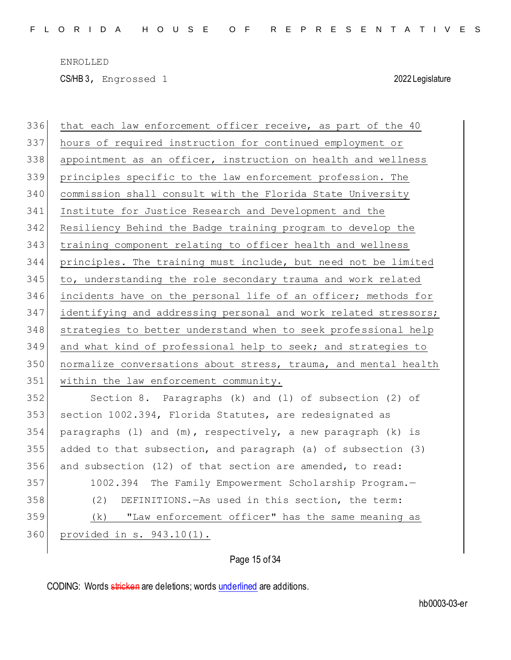CS/HB 3, Engrossed 1 2022 Legislature

 that each law enforcement officer receive, as part of the 40 hours of required instruction for continued employment or 338 appointment as an officer, instruction on health and wellness principles specific to the law enforcement profession. The commission shall consult with the Florida State University Institute for Justice Research and Development and the Resiliency Behind the Badge training program to develop the training component relating to officer health and wellness principles. The training must include, but need not be limited to, understanding the role secondary trauma and work related incidents have on the personal life of an officer; methods for identifying and addressing personal and work related stressors; 348 strategies to better understand when to seek professional help and what kind of professional help to seek; and strategies to normalize conversations about stress, trauma, and mental health 351 within the law enforcement community. Section 8. Paragraphs (k) and (l) of subsection (2) of section 1002.394, Florida Statutes, are redesignated as 354 paragraphs (1) and  $(m)$ , respectively, a new paragraph (k) is added to that subsection, and paragraph (a) of subsection (3) and subsection (12) of that section are amended, to read: 1002.394 The Family Empowerment Scholarship Program.— (2) DEFINITIONS.—As used in this section, the term: (k) "Law enforcement officer" has the same meaning as provided in s. 943.10(1).

Page 15 of 34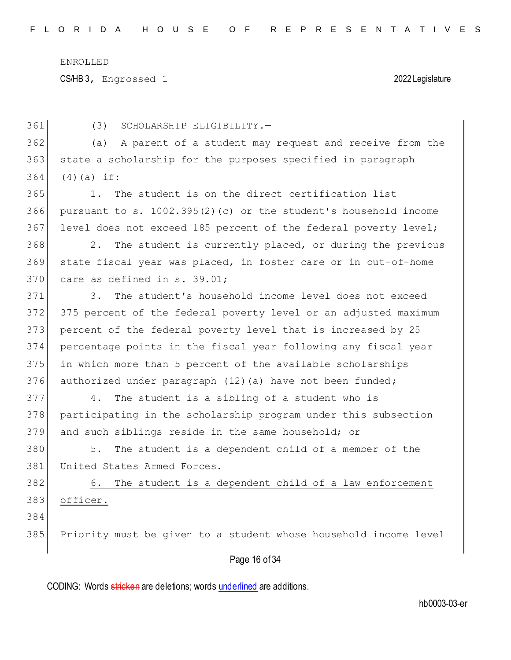CS/HB 3, Engrossed 1 2022 Legislature

Page 16 of 34 (3) SCHOLARSHIP ELIGIBILITY.— (a) A parent of a student may request and receive from the state a scholarship for the purposes specified in paragraph (4)(a) if: 1. The student is on the direct certification list pursuant to s. 1002.395(2)(c) or the student's household income level does not exceed 185 percent of the federal poverty level; 2. The student is currently placed, or during the previous state fiscal year was placed, in foster care or in out-of-home care as defined in s. 39.01; 3. The student's household income level does not exceed 375 percent of the federal poverty level or an adjusted maximum percent of the federal poverty level that is increased by 25 percentage points in the fiscal year following any fiscal year in which more than 5 percent of the available scholarships 376 authorized under paragraph (12) (a) have not been funded; 4. The student is a sibling of a student who is participating in the scholarship program under this subsection and such siblings reside in the same household; or 380 5. The student is a dependent child of a member of the 381 United States Armed Forces. 6. The student is a dependent child of a law enforcement officer. Priority must be given to a student whose household income level

CODING: Words stricken are deletions; words underlined are additions.

hb0003-03-er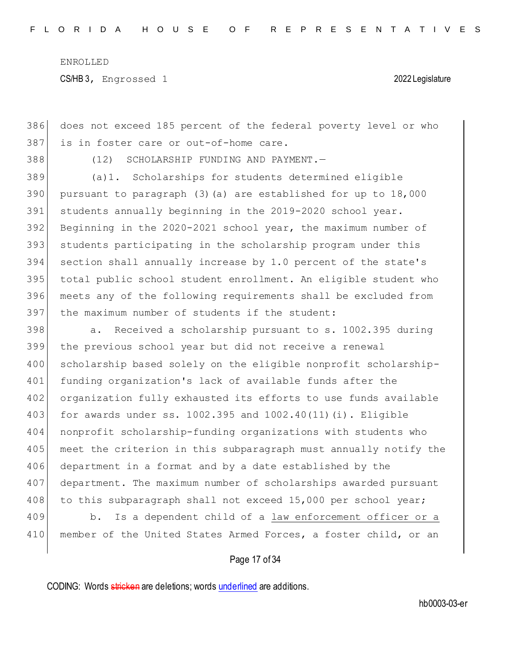386 does not exceed 185 percent of the federal poverty level or who 387 is in foster care or out-of-home care.

388 (12) SCHOLARSHIP FUNDING AND PAYMENT.—

 (a)1. Scholarships for students determined eligible 390 pursuant to paragraph  $(3)(a)$  are established for up to  $18,000$  students annually beginning in the 2019-2020 school year. Beginning in the 2020-2021 school year, the maximum number of students participating in the scholarship program under this section shall annually increase by 1.0 percent of the state's total public school student enrollment. An eligible student who meets any of the following requirements shall be excluded from 397 the maximum number of students if the student:

398 a. Received a scholarship pursuant to s. 1002.395 during the previous school year but did not receive a renewal scholarship based solely on the eligible nonprofit scholarship- funding organization's lack of available funds after the 402 organization fully exhausted its efforts to use funds available for awards under ss. 1002.395 and 1002.40(11)(i). Eligible nonprofit scholarship-funding organizations with students who 405 meet the criterion in this subparagraph must annually notify the department in a format and by a date established by the department. The maximum number of scholarships awarded pursuant 408 to this subparagraph shall not exceed 15,000 per school year;

409 b. Is a dependent child of a law enforcement officer or a 410 member of the United States Armed Forces, a foster child, or an

### Page 17 of 34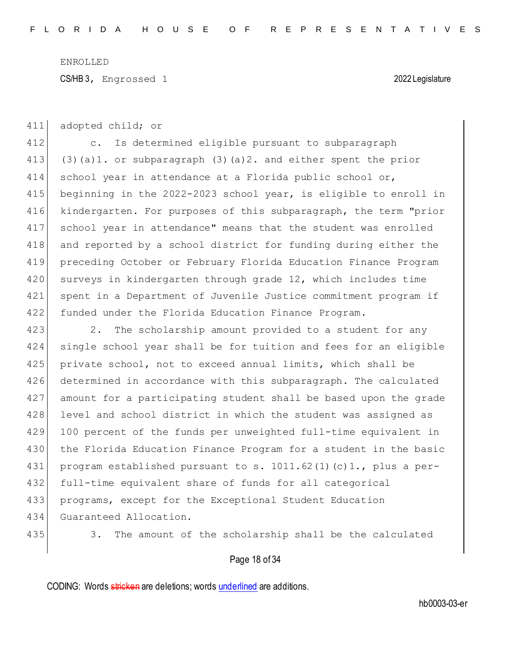CS/HB 3, Engrossed 1 2022 Legislature

411 adopted child; or

 c. Is determined eligible pursuant to subparagraph (3)(a)1. or subparagraph (3)(a)2. and either spent the prior school year in attendance at a Florida public school or, 415 beginning in the 2022-2023 school year, is eligible to enroll in 416 kindergarten. For purposes of this subparagraph, the term "prior school year in attendance" means that the student was enrolled and reported by a school district for funding during either the preceding October or February Florida Education Finance Program 420 surveys in kindergarten through grade 12, which includes time spent in a Department of Juvenile Justice commitment program if funded under the Florida Education Finance Program.

423 2. The scholarship amount provided to a student for any 424 single school year shall be for tuition and fees for an eligible 425 private school, not to exceed annual limits, which shall be 426 determined in accordance with this subparagraph. The calculated 427 amount for a participating student shall be based upon the grade 428 level and school district in which the student was assigned as 429 100 percent of the funds per unweighted full-time equivalent in 430 the Florida Education Finance Program for a student in the basic 431 program established pursuant to s. 1011.62(1)(c)1., plus a per-432 full-time equivalent share of funds for all categorical 433 programs, except for the Exceptional Student Education 434 Guaranteed Allocation.

435 3. The amount of the scholarship shall be the calculated

### Page 18 of 34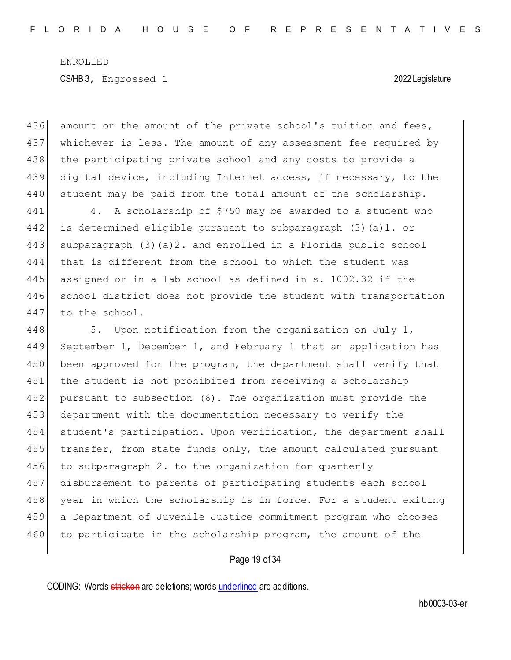436 amount or the amount of the private school's tuition and fees, 437 whichever is less. The amount of any assessment fee required by 438 | the participating private school and any costs to provide a 439 digital device, including Internet access, if necessary, to the 440 student may be paid from the total amount of the scholarship.

441 4. A scholarship of \$750 may be awarded to a student who is determined eligible pursuant to subparagraph (3)(a)1. or subparagraph (3)(a)2. and enrolled in a Florida public school that is different from the school to which the student was assigned or in a lab school as defined in s. 1002.32 if the school district does not provide the student with transportation 447 to the school.

448  $\vert$  5. Upon notification from the organization on July 1, 449 September 1, December 1, and February 1 that an application has 450 been approved for the program, the department shall verify that 451 the student is not prohibited from receiving a scholarship 452 pursuant to subsection (6). The organization must provide the 453 department with the documentation necessary to verify the 454 student's participation. Upon verification, the department shall 455 transfer, from state funds only, the amount calculated pursuant 456 to subparagraph 2. to the organization for quarterly 457 disbursement to parents of participating students each school 458 year in which the scholarship is in force. For a student exiting 459 a Department of Juvenile Justice commitment program who chooses 460 to participate in the scholarship program, the amount of the

### Page 19 of 34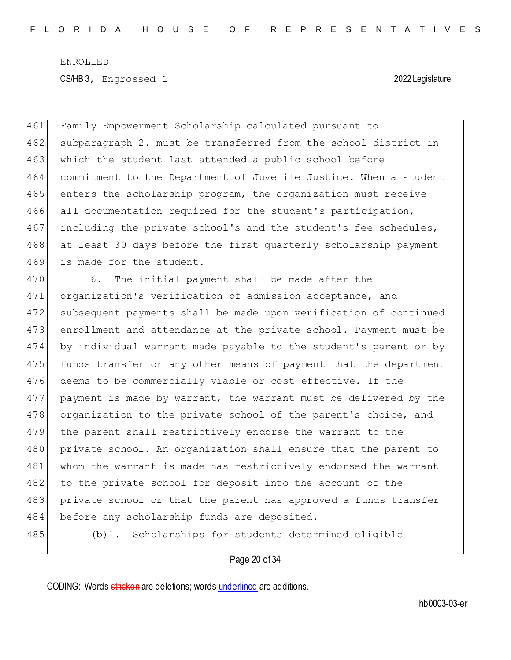461 Family Empowerment Scholarship calculated pursuant to 462 subparagraph 2. must be transferred from the school district in 463 which the student last attended a public school before 464 commitment to the Department of Juvenile Justice. When a student 465 enters the scholarship program, the organization must receive 466 all documentation required for the student's participation, 467 including the private school's and the student's fee schedules, 468 at least 30 days before the first quarterly scholarship payment 469 is made for the student.

470 6. The initial payment shall be made after the 471 organization's verification of admission acceptance, and 472 subsequent payments shall be made upon verification of continued 473 enrollment and attendance at the private school. Payment must be 474 by individual warrant made payable to the student's parent or by 475 funds transfer or any other means of payment that the department 476 deems to be commercially viable or cost-effective. If the 477 payment is made by warrant, the warrant must be delivered by the 478 organization to the private school of the parent's choice, and 479 the parent shall restrictively endorse the warrant to the 480 private school. An organization shall ensure that the parent to 481 whom the warrant is made has restrictively endorsed the warrant 482 to the private school for deposit into the account of the 483 private school or that the parent has approved a funds transfer 484 before any scholarship funds are deposited.

485 (b)1. Scholarships for students determined eligible

### Page 20 of 34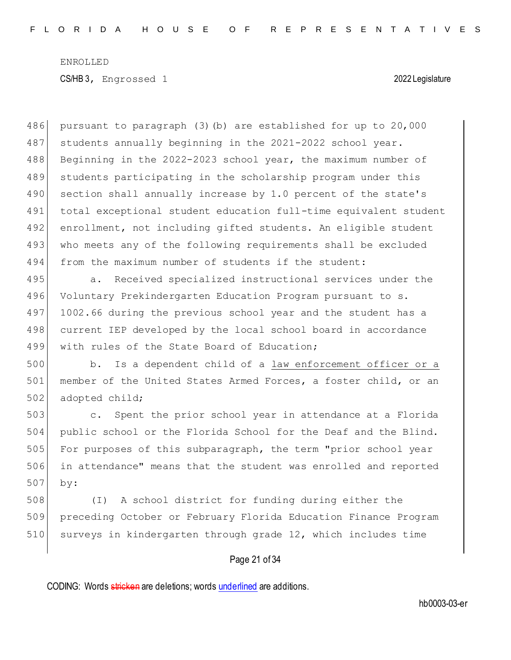486 pursuant to paragraph (3)(b) are established for up to 20,000 487 students annually beginning in the 2021-2022 school year. 488 Beginning in the 2022-2023 school year, the maximum number of 489 students participating in the scholarship program under this 490 section shall annually increase by 1.0 percent of the state's 491 total exceptional student education full-time equivalent student 492 enrollment, not including gifted students. An eligible student 493 who meets any of the following requirements shall be excluded 494 from the maximum number of students if the student:

495 a. Received specialized instructional services under the 496 Voluntary Prekindergarten Education Program pursuant to s. 497 1002.66 during the previous school year and the student has a 498 current IEP developed by the local school board in accordance 499 with rules of the State Board of Education;

500 b. Is a dependent child of a law enforcement officer or a 501 member of the United States Armed Forces, a foster child, or an 502 adopted child;

503 c. Spent the prior school year in attendance at a Florida 504 public school or the Florida School for the Deaf and the Blind. 505 For purposes of this subparagraph, the term "prior school year 506 in attendance" means that the student was enrolled and reported 507 by:

508 (I) A school district for funding during either the 509 preceding October or February Florida Education Finance Program 510 surveys in kindergarten through grade 12, which includes time

### Page 21 of 34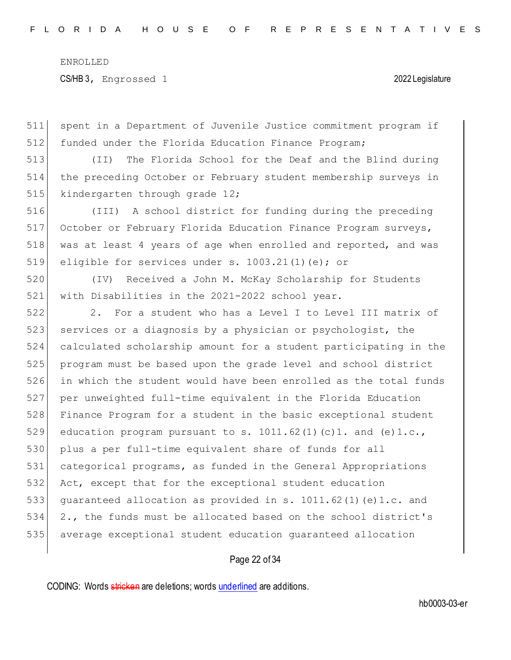spent in a Department of Juvenile Justice commitment program if 512 funded under the Florida Education Finance Program;

 (II) The Florida School for the Deaf and the Blind during the preceding October or February student membership surveys in 515 kindergarten through grade 12;

 (III) A school district for funding during the preceding October or February Florida Education Finance Program surveys, was at least 4 years of age when enrolled and reported, and was eligible for services under s. 1003.21(1)(e); or

 (IV) Received a John M. McKay Scholarship for Students with Disabilities in the 2021-2022 school year.

 2. For a student who has a Level I to Level III matrix of 523 services or a diagnosis by a physician or psychologist, the calculated scholarship amount for a student participating in the 525 | program must be based upon the grade level and school district in which the student would have been enrolled as the total funds per unweighted full-time equivalent in the Florida Education Finance Program for a student in the basic exceptional student 529 education program pursuant to s.  $1011.62(1)(c)1.$  and  $(e)1.c.,$ 530 plus a per full-time equivalent share of funds for all categorical programs, as funded in the General Appropriations Act, except that for the exceptional student education guaranteed allocation as provided in s. 1011.62(1)(e)1.c. and 2., the funds must be allocated based on the school district's average exceptional student education guaranteed allocation

### Page 22 of 34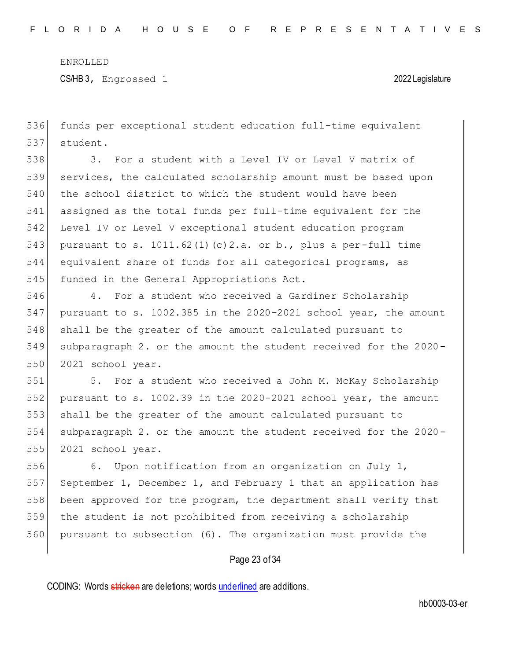CS/HB 3, Engrossed 1 2022 Legislature

536 funds per exceptional student education full-time equivalent 537 student.

538 3. For a student with a Level IV or Level V matrix of 539 services, the calculated scholarship amount must be based upon 540 the school district to which the student would have been 541 assigned as the total funds per full-time equivalent for the 542 Level IV or Level V exceptional student education program 543 pursuant to s. 1011.62(1)(c)2.a. or b., plus a per-full time 544 equivalent share of funds for all categorical programs, as 545 funded in the General Appropriations Act.

546 4. For a student who received a Gardiner Scholarship 547 pursuant to s. 1002.385 in the 2020-2021 school year, the amount 548 shall be the greater of the amount calculated pursuant to 549 subparagraph 2. or the amount the student received for the 2020- 550 2021 school year.

551 5. For a student who received a John M. McKay Scholarship 552 pursuant to s. 1002.39 in the  $2020-2021$  school year, the amount 553 shall be the greater of the amount calculated pursuant to 554 subparagraph 2. or the amount the student received for the 2020- 555 2021 school year.

556 6. Upon notification from an organization on July 1, September 1, December 1, and February 1 that an application has been approved for the program, the department shall verify that the student is not prohibited from receiving a scholarship pursuant to subsection (6). The organization must provide the

### Page 23 of 34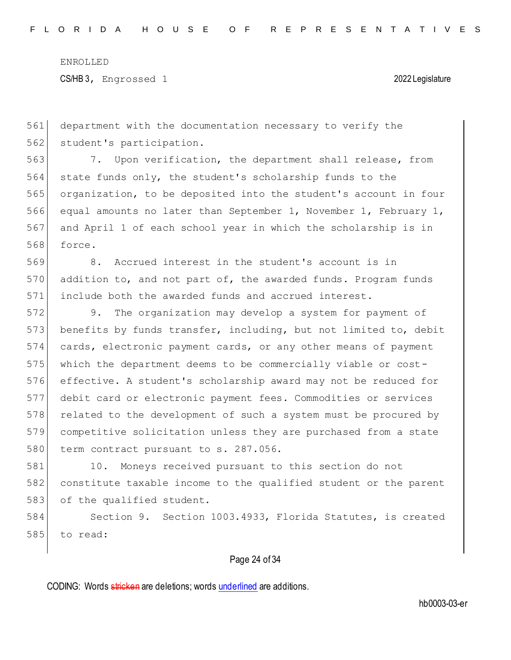CS/HB 3, Engrossed 1 2022 Legislature

 department with the documentation necessary to verify the 562 student's participation.

 7. Upon verification, the department shall release, from state funds only, the student's scholarship funds to the organization, to be deposited into the student's account in four equal amounts no later than September 1, November 1, February 1, and April 1 of each school year in which the scholarship is in force.

 8. Accrued interest in the student's account is in 570 addition to, and not part of, the awarded funds. Program funds include both the awarded funds and accrued interest.

 9. The organization may develop a system for payment of benefits by funds transfer, including, but not limited to, debit cards, electronic payment cards, or any other means of payment which the department deems to be commercially viable or cost- effective. A student's scholarship award may not be reduced for debit card or electronic payment fees. Commodities or services 578 related to the development of such a system must be procured by competitive solicitation unless they are purchased from a state 580 term contract pursuant to s. 287.056.

 10. Moneys received pursuant to this section do not constitute taxable income to the qualified student or the parent 583 of the qualified student.

 Section 9. Section 1003.4933, Florida Statutes, is created 585 to read:

### Page 24 of 34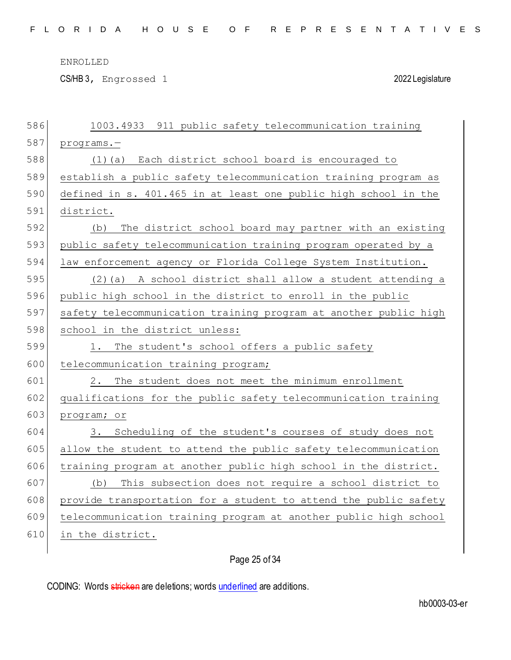CS/HB 3, Engrossed 1 2022 Legislature

| 586 | 1003.4933 911 public safety telecommunication training           |
|-----|------------------------------------------------------------------|
| 587 | $programs. -$                                                    |
| 588 | (1)(a) Each district school board is encouraged to               |
| 589 | establish a public safety telecommunication training program as  |
| 590 | defined in s. 401.465 in at least one public high school in the  |
| 591 | district.                                                        |
| 592 | The district school board may partner with an existing<br>(b)    |
| 593 | public safety telecommunication training program operated by a   |
| 594 | law enforcement agency or Florida College System Institution.    |
| 595 | (2) (a) A school district shall allow a student attending a      |
| 596 | public high school in the district to enroll in the public       |
| 597 | safety telecommunication training program at another public high |
| 598 | school in the district unless:                                   |
|     |                                                                  |
| 599 | The student's school offers a public safety<br>1.                |
| 600 | telecommunication training program;                              |
| 601 | The student does not meet the minimum enrollment<br>2.           |
| 602 | qualifications for the public safety telecommunication training  |
| 603 | program; or                                                      |
| 604 | Scheduling of the student's courses of study does not<br>3.      |
| 605 | allow the student to attend the public safety telecommunication  |
| 606 | training program at another public high school in the district.  |
| 607 | This subsection does not require a school district to<br>(b)     |
| 608 | provide transportation for a student to attend the public safety |
| 609 | telecommunication training program at another public high school |
| 610 | in the district.                                                 |

# Page 25 of 34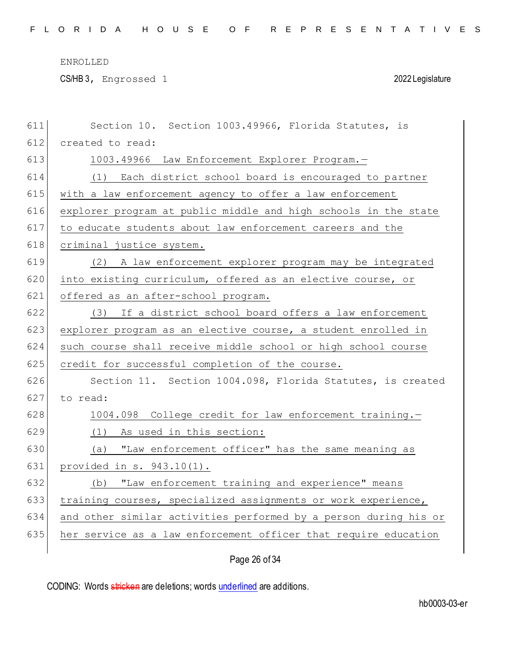CS/HB 3, Engrossed 1 2022 Legislature

| 611 | Section 10. Section 1003.49966, Florida Statutes, is             |
|-----|------------------------------------------------------------------|
| 612 | created to read:                                                 |
| 613 | 1003.49966 Law Enforcement Explorer Program.-                    |
| 614 | (1) Each district school board is encouraged to partner          |
| 615 | with a law enforcement agency to offer a law enforcement         |
| 616 | explorer program at public middle and high schools in the state  |
| 617 | to educate students about law enforcement careers and the        |
| 618 | criminal justice system.                                         |
| 619 | (2) A law enforcement explorer program may be integrated         |
| 620 | into existing curriculum, offered as an elective course, or      |
| 621 | offered as an after-school program.                              |
| 622 | (3) If a district school board offers a law enforcement          |
| 623 | explorer program as an elective course, a student enrolled in    |
| 624 | such course shall receive middle school or high school course    |
| 625 | credit for successful completion of the course.                  |
| 626 | Section 11. Section 1004.098, Florida Statutes, is created       |
| 627 | to read:                                                         |
| 628 | 1004.098 College credit for law enforcement training.-           |
| 629 | (1) As used in this section:                                     |
| 630 | (a) "Law enforcement officer" has the same meaning as            |
| 631 | provided in $s. 943.10(1)$ .                                     |
| 632 | (b) "Law enforcement training and experience" means              |
| 633 | training courses, specialized assignments or work experience,    |
| 634 | and other similar activities performed by a person during his or |
| 635 | her service as a law enforcement officer that require education  |
|     |                                                                  |

# Page 26 of 34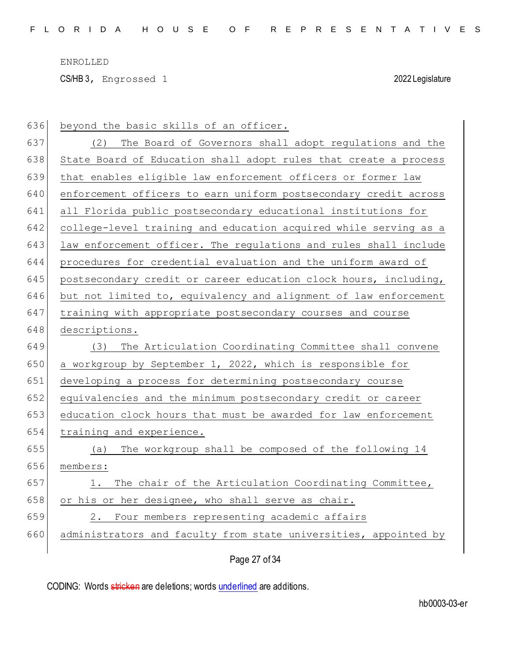CS/HB 3, Engrossed 1 2022 Legislature

| 636 | beyond the basic skills of an officer.                           |
|-----|------------------------------------------------------------------|
| 637 | The Board of Governors shall adopt regulations and the<br>(2)    |
| 638 | State Board of Education shall adopt rules that create a process |
| 639 | that enables eligible law enforcement officers or former law     |
| 640 | enforcement officers to earn uniform postsecondary credit across |
| 641 | all Florida public postsecondary educational institutions for    |
| 642 | college-level training and education acquired while serving as a |
| 643 | law enforcement officer. The regulations and rules shall include |
| 644 | procedures for credential evaluation and the uniform award of    |
| 645 | postsecondary credit or career education clock hours, including, |
| 646 | but not limited to, equivalency and alignment of law enforcement |
| 647 | training with appropriate postsecondary courses and course       |
| 648 | descriptions.                                                    |
|     |                                                                  |
| 649 | (3) The Articulation Coordinating Committee shall convene        |
| 650 | a workgroup by September 1, 2022, which is responsible for       |
| 651 | developing a process for determining postsecondary course        |
| 652 | equivalencies and the minimum postsecondary credit or career     |
| 653 | education clock hours that must be awarded for law enforcement   |
| 654 | training and experience.                                         |
| 655 | (a) The workgroup shall be composed of the following 14          |
| 656 | members:                                                         |
| 657 | The chair of the Articulation Coordinating Committee,<br>1.      |
| 658 | or his or her designee, who shall serve as chair.                |
| 659 | Four members representing academic affairs<br>2.                 |
| 660 | administrators and faculty from state universities, appointed by |

Page 27 of 34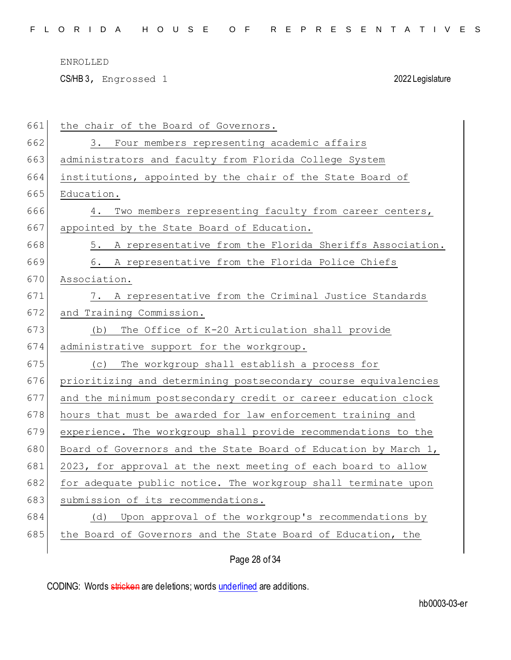CS/HB 3, Engrossed 1 2022 Legislature

| 661 | the chair of the Board of Governors.                            |
|-----|-----------------------------------------------------------------|
| 662 | 3. Four members representing academic affairs                   |
| 663 | administrators and faculty from Florida College System          |
| 664 | institutions, appointed by the chair of the State Board of      |
| 665 | Education.                                                      |
| 666 | Two members representing faculty from career centers,<br>4.     |
| 667 | appointed by the State Board of Education.                      |
| 668 | 5. A representative from the Florida Sheriffs Association.      |
| 669 | A representative from the Florida Police Chiefs<br>6.           |
| 670 | Association.                                                    |
| 671 | 7. A representative from the Criminal Justice Standards         |
| 672 | and Training Commission.                                        |
| 673 | The Office of K-20 Articulation shall provide<br>(b)            |
| 674 | administrative support for the workgroup.                       |
| 675 | The workgroup shall establish a process for<br>(C)              |
|     |                                                                 |
| 676 | prioritizing and determining postsecondary course equivalencies |
| 677 | and the minimum postsecondary credit or career education clock  |
| 678 | hours that must be awarded for law enforcement training and     |
| 679 | experience. The workgroup shall provide recommendations to the  |
| 680 | Board of Governors and the State Board of Education by March 1, |
| 681 | 2023, for approval at the next meeting of each board to allow   |
| 682 | for adequate public notice. The workgroup shall terminate upon  |
| 683 | submission of its recommendations.                              |
| 684 | (d) Upon approval of the workgroup's recommendations by         |
| 685 | the Board of Governors and the State Board of Education, the    |

Page 28 of 34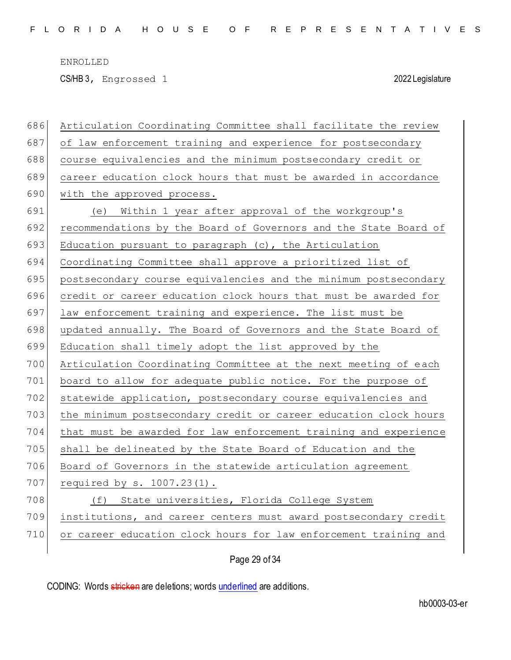CS/HB 3, Engrossed 1 2022 Legislature

| 686 | Articulation Coordinating Committee shall facilitate the review  |
|-----|------------------------------------------------------------------|
| 687 | of law enforcement training and experience for postsecondary     |
| 688 | course equivalencies and the minimum postsecondary credit or     |
| 689 | career education clock hours that must be awarded in accordance  |
| 690 | with the approved process.                                       |
| 691 | (e) Within 1 year after approval of the workgroup's              |
| 692 | recommendations by the Board of Governors and the State Board of |
| 693 | Education pursuant to paragraph (c), the Articulation            |
| 694 | Coordinating Committee shall approve a prioritized list of       |
| 695 | postsecondary course equivalencies and the minimum postsecondary |
| 696 | credit or career education clock hours that must be awarded for  |
| 697 | law enforcement training and experience. The list must be        |
| 698 | updated annually. The Board of Governors and the State Board of  |
| 699 | Education shall timely adopt the list approved by the            |
| 700 | Articulation Coordinating Committee at the next meeting of each  |
| 701 | board to allow for adequate public notice. For the purpose of    |
| 702 | statewide application, postsecondary course equivalencies and    |
| 703 | the minimum postsecondary credit or career education clock hours |
| 704 | that must be awarded for law enforcement training and experience |
| 705 | shall be delineated by the State Board of Education and the      |
| 706 | Board of Governors in the statewide articulation agreement       |
| 707 | required by $s. 1007.23(1)$ .                                    |
| 708 | (f) State universities, Florida College System                   |
| 709 | institutions, and career centers must award postsecondary credit |
| 710 | or career education clock hours for law enforcement training and |
|     |                                                                  |

Page 29 of 34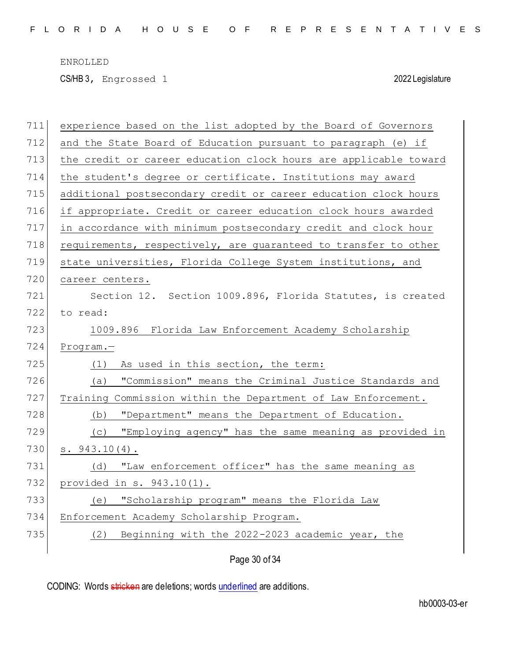CS/HB 3, Engrossed 1 2022 Legislature

| 711 | experience based on the list adopted by the Board of Governors   |
|-----|------------------------------------------------------------------|
| 712 | and the State Board of Education pursuant to paragraph (e) if    |
| 713 | the credit or career education clock hours are applicable toward |
| 714 | the student's degree or certificate. Institutions may award      |
| 715 | additional postsecondary credit or career education clock hours  |
| 716 | if appropriate. Credit or career education clock hours awarded   |
| 717 | in accordance with minimum postsecondary credit and clock hour   |
| 718 | requirements, respectively, are guaranteed to transfer to other  |
| 719 | state universities, Florida College System institutions, and     |
| 720 | career centers.                                                  |
| 721 | Section 12. Section 1009.896, Florida Statutes, is created       |
| 722 | to read:                                                         |
| 723 | 1009.896 Florida Law Enforcement Academy Scholarship             |
| 724 | Program.-                                                        |
| 725 | As used in this section, the term:<br>(1)                        |
| 726 | "Commission" means the Criminal Justice Standards and<br>(a)     |
| 727 | Training Commission within the Department of Law Enforcement.    |
| 728 | "Department" means the Department of Education.<br>(b)           |
| 729 | "Employing agency" has the same meaning as provided in<br>(C)    |
| 730 | $s. 943.10(4)$ .                                                 |
| 731 | "Law enforcement officer" has the same meaning as<br>(d)         |
| 732 | provided in s. 943.10(1).                                        |
| 733 | (e) "Scholarship program" means the Florida Law                  |
| 734 | Enforcement Academy Scholarship Program.                         |
| 735 | Beginning with the 2022-2023 academic year, the<br>(2)           |
|     |                                                                  |

Page 30 of 34

CODING: Words stricken are deletions; words underlined are additions.

hb0003-03-er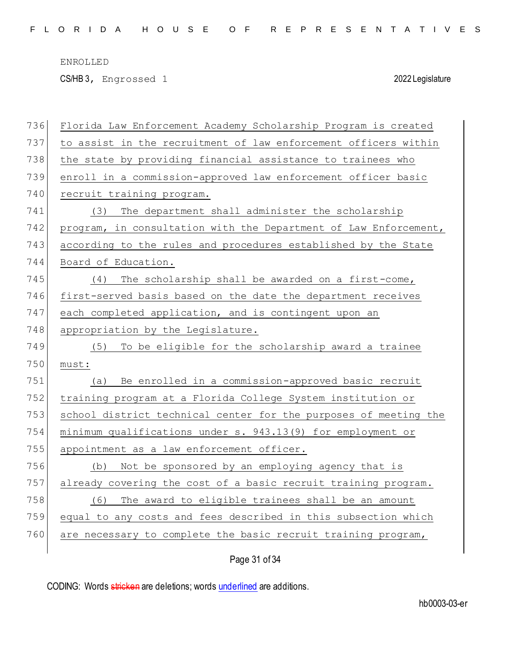CS/HB 3, Engrossed 1 2022 Legislature

| 736 | Florida Law Enforcement Academy Scholarship Program is created   |
|-----|------------------------------------------------------------------|
| 737 | to assist in the recruitment of law enforcement officers within  |
| 738 | the state by providing financial assistance to trainees who      |
| 739 | enroll in a commission-approved law enforcement officer basic    |
| 740 | recruit training program.                                        |
| 741 | The department shall administer the scholarship<br>(3)           |
| 742 | program, in consultation with the Department of Law Enforcement, |
| 743 | according to the rules and procedures established by the State   |
| 744 | Board of Education.                                              |
| 745 | The scholarship shall be awarded on a first-come,<br>(4)         |
| 746 | first-served basis based on the date the department receives     |
| 747 | each completed application, and is contingent upon an            |
| 748 | appropriation by the Legislature.                                |
| 749 | To be eligible for the scholarship award a trainee<br>(5)        |
| 750 | must:                                                            |
| 751 | Be enrolled in a commission-approved basic recruit<br>(a)        |
| 752 | training program at a Florida College System institution or      |
| 753 | school district technical center for the purposes of meeting the |
| 754 | minimum qualifications under s. 943.13(9) for employment or      |
| 755 | appointment as a law enforcement officer.                        |
| 756 | Not be sponsored by an employing agency that is<br>(b)           |
| 757 | already covering the cost of a basic recruit training program.   |
| 758 | The award to eligible trainees shall be an amount<br>(6)         |
| 759 | equal to any costs and fees described in this subsection which   |
| 760 | are necessary to complete the basic recruit training program,    |
|     |                                                                  |

Page 31 of 34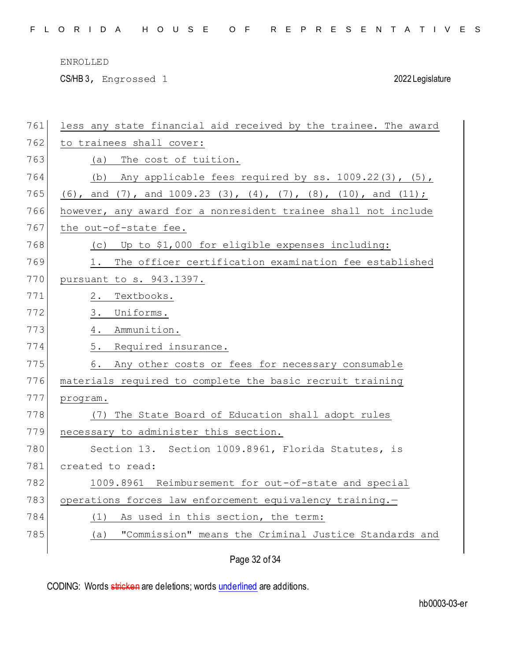CS/HB 3, Engrossed 1 2022 Legislature

| 761 | less any state financial aid received by the trainee. The award |
|-----|-----------------------------------------------------------------|
| 762 | to trainees shall cover:                                        |
| 763 | The cost of tuition.<br>(a)                                     |
| 764 | Any applicable fees required by ss. 1009.22(3), (5),<br>(b)     |
| 765 | (6), and (7), and $1009.23$ (3), (4), (7), (8), (10), and (11); |
| 766 | however, any award for a nonresident trainee shall not include  |
| 767 | the out-of-state fee.                                           |
| 768 | (c) Up to \$1,000 for eligible expenses including:              |
| 769 | The officer certification examination fee established<br>1.     |
| 770 | pursuant to s. 943.1397.                                        |
| 771 | Textbooks.<br>2.                                                |
| 772 | 3.<br>Uniforms.                                                 |
| 773 | Ammunition.<br>4.                                               |
| 774 | 5.<br>Required insurance.                                       |
| 775 | Any other costs or fees for necessary consumable<br>6.          |
| 776 | materials required to complete the basic recruit training       |
| 777 | program.                                                        |
| 778 | (7) The State Board of Education shall adopt rules              |
| 779 | necessary to administer this section.                           |
| 780 | Section 13. Section 1009.8961, Florida Statutes, is             |
| 781 | created to read:                                                |
| 782 | 1009.8961 Reimbursement for out-of-state and special            |
| 783 | operations forces law enforcement equivalency training.-        |
| 784 | As used in this section, the term:<br>(1)                       |
| 785 | "Commission" means the Criminal Justice Standards and<br>(a)    |
|     |                                                                 |

Page 32 of 34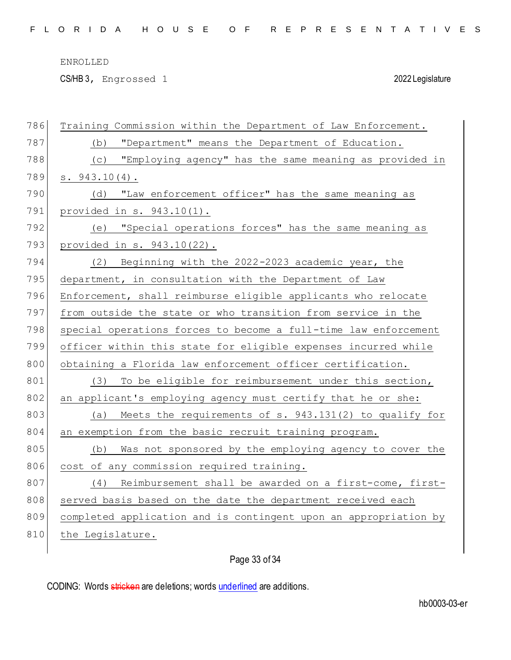CS/HB 3, Engrossed 1 2022 Legislature

| 786 | Training Commission within the Department of Law Enforcement.    |
|-----|------------------------------------------------------------------|
| 787 | "Department" means the Department of Education.<br>(b)           |
| 788 | (c) "Employing agency" has the same meaning as provided in       |
| 789 | s. 943.10(4).                                                    |
| 790 | "Law enforcement officer" has the same meaning as<br>(d)         |
| 791 | provided in $s. 943.10(1)$ .                                     |
| 792 | (e) "Special operations forces" has the same meaning as          |
| 793 | provided in s. 943.10(22).                                       |
| 794 | Beginning with the 2022-2023 academic year, the<br>(2)           |
| 795 | department, in consultation with the Department of Law           |
| 796 | Enforcement, shall reimburse eligible applicants who relocate    |
| 797 | from outside the state or who transition from service in the     |
| 798 | special operations forces to become a full-time law enforcement  |
| 799 | officer within this state for eligible expenses incurred while   |
| 800 | obtaining a Florida law enforcement officer certification.       |
| 801 | To be eligible for reimbursement under this section,<br>(3)      |
| 802 | an applicant's employing agency must certify that he or she:     |
| 803 | (a) Meets the requirements of s. 943.131(2) to qualify for       |
| 804 | an exemption from the basic recruit training program.            |
| 805 | Was not sponsored by the employing agency to cover the<br>(b)    |
| 806 | cost of any commission required training.                        |
| 807 | (4)<br>Reimbursement shall be awarded on a first-come, first-    |
| 808 | served basis based on the date the department received each      |
| 809 | completed application and is contingent upon an appropriation by |
| 810 | the Legislature.                                                 |
|     |                                                                  |

# Page 33 of 34